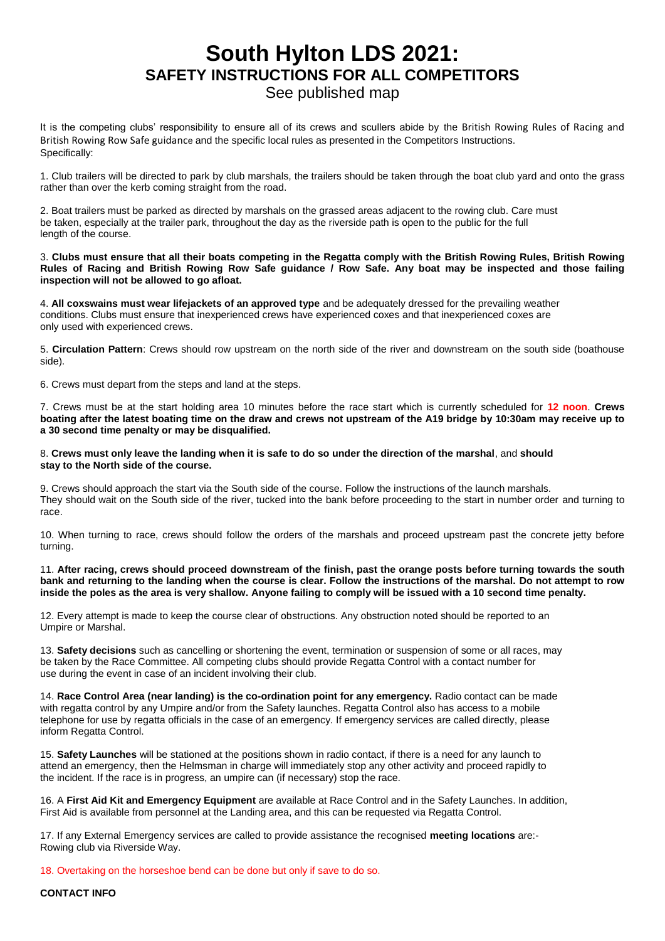## **South Hylton LDS 2021: SAFETY INSTRUCTIONS FOR ALL COMPETITORS**

## See published map

It is the competing clubs' responsibility to ensure all of its crews and scullers abide by the British Rowing Rules of Racing and British Rowing Row Safe guidance and the specific local rules as presented in the Competitors Instructions. Specifically:

1. Club trailers will be directed to park by club marshals, the trailers should be taken through the boat club yard and onto the grass rather than over the kerb coming straight from the road.

2. Boat trailers must be parked as directed by marshals on the grassed areas adjacent to the rowing club. Care must be taken, especially at the trailer park, throughout the day as the riverside path is open to the public for the full length of the course.

3. **Clubs must ensure that all their boats competing in the Regatta comply with the British Rowing Rules, British Rowing Rules of Racing and British Rowing Row Safe guidance / Row Safe. Any boat may be inspected and those failing inspection will not be allowed to go afloat.**

4. **All coxswains must wear lifejackets of an approved type** and be adequately dressed for the prevailing weather conditions. Clubs must ensure that inexperienced crews have experienced coxes and that inexperienced coxes are only used with experienced crews.

5. **Circulation Pattern**: Crews should row upstream on the north side of the river and downstream on the south side (boathouse side).

6. Crews must depart from the steps and land at the steps.

7. Crews must be at the start holding area 10 minutes before the race start which is currently scheduled for **12 noon**. **Crews boating after the latest boating time on the draw and crews not upstream of the A19 bridge by 10:30am may receive up to a 30 second time penalty or may be disqualified.**

## 8. **Crews must only leave the landing when it is safe to do so under the direction of the marshal**, and **should stay to the North side of the course.**

9. Crews should approach the start via the South side of the course. Follow the instructions of the launch marshals. They should wait on the South side of the river, tucked into the bank before proceeding to the start in number order and turning to race.

10. When turning to race, crews should follow the orders of the marshals and proceed upstream past the concrete jetty before turning.

11. **After racing, crews should proceed downstream of the finish, past the orange posts before turning towards the south bank and returning to the landing when the course is clear. Follow the instructions of the marshal. Do not attempt to row inside the poles as the area is very shallow. Anyone failing to comply will be issued with a 10 second time penalty.**

12. Every attempt is made to keep the course clear of obstructions. Any obstruction noted should be reported to an Umpire or Marshal.

13. **Safety decisions** such as cancelling or shortening the event, termination or suspension of some or all races, may be taken by the Race Committee. All competing clubs should provide Regatta Control with a contact number for use during the event in case of an incident involving their club.

14. **Race Control Area (near landing) is the co-ordination point for any emergency.** Radio contact can be made with regatta control by any Umpire and/or from the Safety launches. Regatta Control also has access to a mobile telephone for use by regatta officials in the case of an emergency. If emergency services are called directly, please inform Regatta Control.

15. **Safety Launches** will be stationed at the positions shown in radio contact, if there is a need for any launch to attend an emergency, then the Helmsman in charge will immediately stop any other activity and proceed rapidly to the incident. If the race is in progress, an umpire can (if necessary) stop the race.

16. A **First Aid Kit and Emergency Equipment** are available at Race Control and in the Safety Launches. In addition, First Aid is available from personnel at the Landing area, and this can be requested via Regatta Control.

17. If any External Emergency services are called to provide assistance the recognised **meeting locations** are:- Rowing club via Riverside Way.

18. Overtaking on the horseshoe bend can be done but only if save to do so.

**CONTACT INFO**